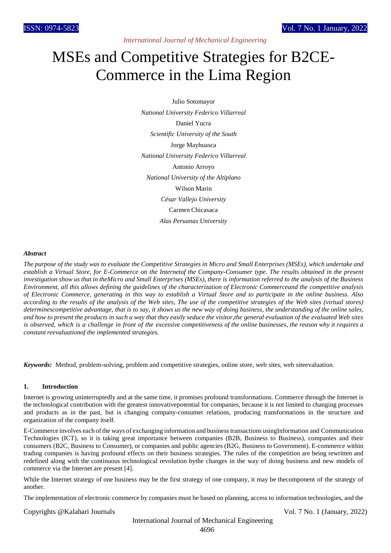*International Journal of Mechanical Engineering* 

# MSEs and Competitive Strategies for B2CE-Commerce in the Lima Region

Julio Sotomayor *National University Federico Villarreal* Daniel Yucra *Scientific University of the South* Jorge Mayhuasca *National University Federico Villarreal* Antonio Arroyo *National University of the Altiplano* Wilson Marin *César Vallejo University* Carmen Chicasaca *Alas Peruanas University*

## *Abstract*

The purpose of the study was to evaluate the Competitive Strategies in Micro and Small Enterprises (MSEs), which undertake and establish a Virtual Store, for E-Commerce on the Internetof the Company-Consumer type. The results obtained in the present *investigation show us that in theMicro and Small Enterprises (MSEs), there is information referred to the analysis of the Business Environment, all this allows defining the guidelines of the characterization of Electronic Commerceand the competitive analysis of Electronic Commerce, generating in this way to establish a Virtual Store and to participate in the online business. Also*  according to the results of the analysis of the Web sites. The use of the competitive strategies of the Web sites (virtual stores) determinescompetitive advantage, that is to say, it shows us the new way of doing business, the understanding of the online sales, and how to present the products in such a way that they easily seduce the visitor, the general evaluation of the evaluated Web sites *is observed, which is a challenge in front of the excessive competitiveness of the online businesses, the reason why it requires a constant reevaluationof the implemented strategies.*

*Keywords:* Method, problem-solving, problem and competitive strategies, online store, web sites, web siteevaluation.

#### **1. Introduction**

Internet is growing uninterruptedly and at the same time, it promises profound transformations. Commerce through the Internet is the technological contribution with the greatest innovativepotential for companies, because it is not limited to changing processes and products as in the past, but is changing company-consumer relations, producing transformations in the structure and organization of the company itself.

E-Commerce involves each ofthe ways of exchanging information and businesstransactions usingInformation and Communication Technologies (ICT), so it is taking great importance between companies (B2B, Business to Business), companies and their consumers (B2C, Business to Consumer), or companies and public agencies (B2G, Business to Government). E-commerce within trading companies is having profound effects on their business strategies. The rules of the competition are being rewritten and redefined along with the continuous technological revolution bythe changes in the way of doing business and new models of commerce via the Internet are present [4].

While the Internet strategy of one business may be the first strategy of one company, it may be thecomponent of the strategy of another.

The implementation of electronic commerce by companies must be based on planning, access to information technologies, and the

Copyrights @Kalahari Journals Vol. 7 No. 1 (January, 2022)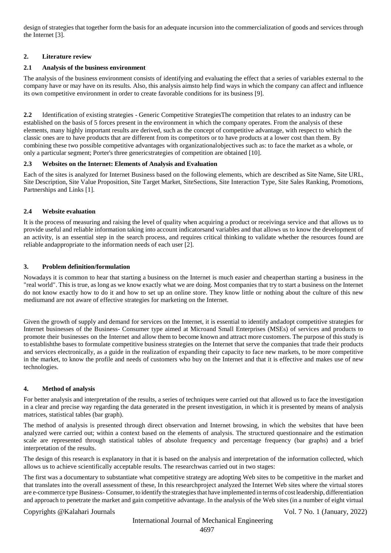design of strategies that together form the basis for an adequate incursion into the commercialization of goods and services through the Internet [3].

# **2. Literature review**

# **2.1 Analysis of the business environment**

The analysis of the business environment consists of identifying and evaluating the effect that a series of variables external to the company have or may have on its results. Also, this analysis aimsto help find ways in which the company can affect and influence its own competitive environment in order to create favorable conditions for its business [9].

**2.2** Identification of existing strategies - Generic Competitive StrategiesThe competition that relates to an industry can be established on the basis of 5 forces present in the environment in which the company operates. From the analysis of these elements, many highly important results are derived, such as the concept of competitive advantage, with respect to which the classic ones are to have products that are different from its competitors or to have products at a lower cost than them. By combining these two possible competitive advantages with organizationalobjectives such as: to face the market as a whole, or only a particular segment; Porter's three genericstrategies of competition are obtained [10].

# **2.3 Websites on the Internet: Elements of Analysis and Evaluation**

Each of the sites is analyzed for Internet Business based on the following elements, which are described as Site Name, Site URL, Site Description, Site Value Proposition, Site Target Market, SiteSections, Site Interaction Type, Site Sales Ranking, Promotions, Partnerships and Links [1].

# **2.4 Website evaluation**

It is the process of measuring and raising the level of quality when acquiring a product or receivinga service and that allows us to provide useful and reliable information taking into account indicatorsand variables and that allows us to know the development of an activity, is an essential step in the search process, and requires critical thinking to validate whether the resources found are reliable andappropriate to the information needs of each user [2].

# **3. Problem definition/formulation**

Nowadays it is common to hear that starting a business on the Internet is much easier and cheaperthan starting a business in the "real world". This is true, as long as we know exactly what we are doing. Most companies that try to start a business on the Internet do not know exactly how to do it and how to set up an online store. They know little or nothing about the culture of this new mediumand are not aware of effective strategies for marketing on the Internet.

Given the growth of supply and demand for services on the Internet, it is essential to identify andadopt competitive strategies for Internet businesses of the Business- Consumer type aimed at Microand Small Enterprises (MSEs) of services and products to promote their businesses on the Internet and allow them to become known and attract more customers. The purpose of this study is to establishthe bases to formulate competitive business strategies on the Internet that serve the companies that trade their products and services electronically, as a guide in the realization of expanding their capacity to face new markets, to be more competitive in the market, to know the profile and needs of customers who buy on the Internet and that it is effective and makes use of new technologies.

## **4. Method of analysis**

For better analysis and interpretation of the results, a series of techniques were carried out that allowed us to face the investigation in a clear and precise way regarding the data generated in the present investigation, in which it is presented by means of analysis matrices, statistical tables (bar graph).

The method of analysis is presented through direct observation and Internet browsing, in which the websites that have been analyzed were carried out; within a context based on the elements of analysis. The structured questionnaire and the estimation scale are represented through statistical tables of absolute frequency and percentage frequency (bar graphs) and a brief interpretation of the results.

The design of this research is explanatory in that it is based on the analysis and interpretation of the information collected, which allows us to achieve scientifically acceptable results. The researchwas carried out in two stages:

The first was a documentary to substantiate what competitive strategy are adopting Web sites to be competitive in the market and that translates into the overall assessment of these, In this researchproject analyzed the Internet Web sites where the virtual stores are e-commerce type Business- Consumer, to identify the strategiesthat have implemented in terms of cost leadership, differentiation and approach to penetrate the market and gain competitive advantage. In the analysis of the Web sites (in a number of eight virtual

# Copyrights @Kalahari Journals Vol. 7 No. 1 (January, 2022)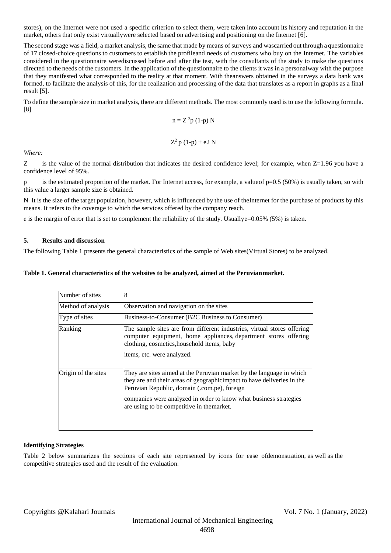stores), on the Internet were not used a specific criterion to select them, were taken into account its history and reputation in the market, others that only exist virtuallywere selected based on advertising and positioning on the Internet [6].

The second stage was a field, a market analysis, the same that made by means of surveys and wascarried out through a questionnaire of 17 closed-choice questions to customers to establish the profileand needs of customers who buy on the Internet. The variables considered in the questionnaire werediscussed before and after the test, with the consultants of the study to make the questions directed to the needs of the customers. In the application of the questionnaire to the clients it was in a personalway with the purpose that they manifested what corresponded to the reality at that moment. With theanswers obtained in the surveys a data bank was formed, to facilitate the analysis of this, for the realization and processing of the data that translates as a report in graphs as a final result [5].

To define the sample size in market analysis, there are different methods. The most commonly used is to use the following formula. [8]

$$
n = Z^2 p (1-p) N
$$

$$
Z^2 p (1-p) + e^2 N
$$

*Where:*

Z is the value of the normal distribution that indicates the desired confidence level; for example, when Z=1.96 you have a confidence level of 95%.

p is the estimated proportion of the market. For Internet access, for example, a valueof p=0.5 (50%) is usually taken, so with this value a larger sample size is obtained.

N It is the size of the target population, however, which is influenced by the use of theInternet for the purchase of products by this means. It refers to the coverage to which the services offered by the company reach.

e is the margin of error that is set to complement the reliability of the study. Usuallye=0.05% (5%) is taken.

## **5. Results and discussion**

The following Table 1 presents the general characteristics of the sample of Web sites(Virtual Stores) to be analyzed.

### **Table 1. General characteristics of the websites to be analyzed, aimed at the Peruvianmarket.**

| Number of sites     |                                                                                                                                                                                                                                                                                                                   |
|---------------------|-------------------------------------------------------------------------------------------------------------------------------------------------------------------------------------------------------------------------------------------------------------------------------------------------------------------|
| Method of analysis  | Observation and navigation on the sites                                                                                                                                                                                                                                                                           |
| Type of sites       | Business-to-Consumer (B2C Business to Consumer)                                                                                                                                                                                                                                                                   |
| Ranking             | The sample sites are from different industries, virtual stores offering<br>computer equipment, home appliances, department stores offering<br>clothing, cosmetics, household items, baby<br>items, etc. were analyzed.                                                                                            |
| Origin of the sites | They are sites aimed at the Peruvian market by the language in which<br>they are and their areas of geographic impact to have deliveries in the<br>Peruvian Republic, domain (.com.pe), foreign<br>companies were analyzed in order to know what business strategies<br>are using to be competitive in themarket. |

## **Identifying Strategies**

Table 2 below summarizes the sections of each site represented by icons for ease ofdemonstration, as well as the competitive strategies used and the result of the evaluation.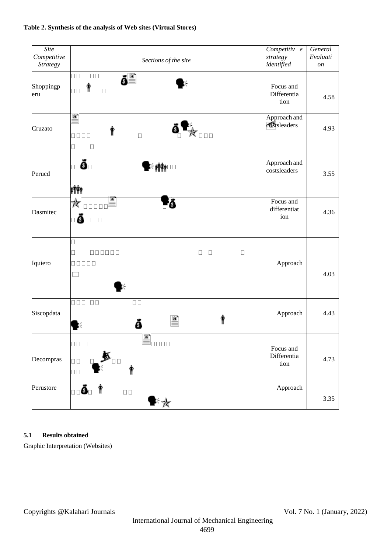

# **Table 2. Synthesis of the analysis of Web sites (Virtual Stores)**

# **5.1 Results obtained**

Graphic Interpretation (Websites)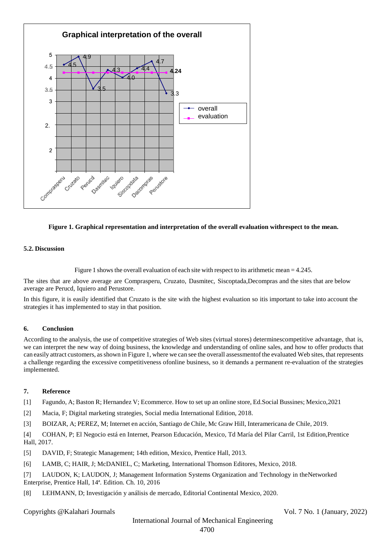



## **5.2. Discussion**

Figure 1 shows the overall evaluation of each site with respect to its arithmetic mean  $= 4.245$ .

The sites that are above average are Comprasperu, Cruzato, Dasmitec, Siscoptada,Decompras and the sites that are below average are Perucd, Iquiero and Perustore.

In this figure, it is easily identified that Cruzato is the site with the highest evaluation so itis important to take into account the strategies it has implemented to stay in that position.

## **6. Conclusion**

According to the analysis, the use of competitive strategies of Web sites (virtual stores) determinescompetitive advantage, that is, we can interpret the new way of doing business, the knowledge and understanding of online sales, and how to offer products that can easily attract customers, asshown in Figure 1, where we can see the overall assessmentof the evaluated Web sites, that represents a challenge regarding the excessive competitiveness ofonline business, so it demands a permanent re-evaluation of the strategies implemented.

#### **7. Reference**

[1] Fagundo, A; Baston R; Hernandez V; Ecommerce. How to set up an online store, Ed.Social Bussines; Mexico,2021

[2] Macia, F; Digital marketing strategies, Social media International Edition, 2018.

[3] BOIZAR, A; PEREZ, M; Internet en acción, Santiago de Chile, Mc Graw Hill, Interamericana de Chile, 2019.

[4] COHAN, P; El Negocio está en Internet, Pearson Educación, Mexico, Td María del Pilar Carril, 1st Edition,Prentice Hall, 2017.

- [5] DAVID, F; Strategic Management; 14th edition, Mexico, Prentice Hall, 2013.
- [6] LAMB, C; HAIR, J; McDANIEL, C; Marketing, International Thomson Editores, Mexico, 2018.

[7] LAUDON, K; LAUDON, J; Management Information Systems Organization and Technology in theNetworked Enterprise, Prentice Hall, 14ª. Edition. Ch. 10, 2016

[8] LEHMANN, D; Investigación y análisis de mercado, Editorial Continental Mexico, 2020.

Copyrights @Kalahari Journals Vol. 7 No. 1 (January, 2022)